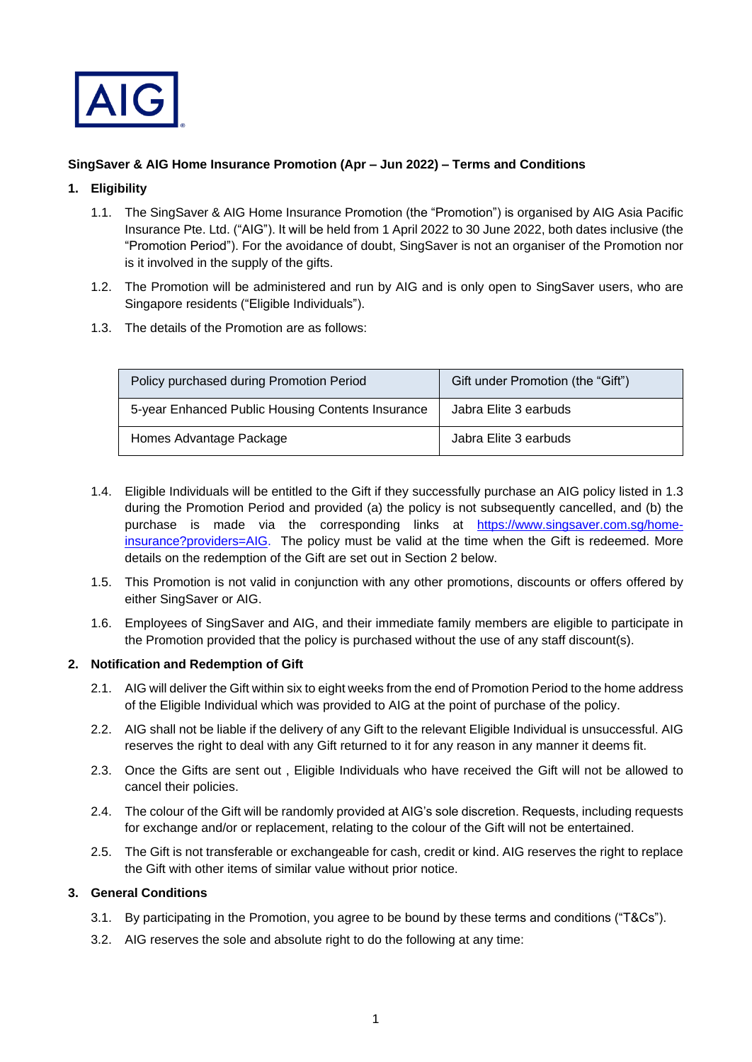

## **SingSaver & AIG Home Insurance Promotion (Apr – Jun 2022) – Terms and Conditions**

## **1. Eligibility**

- 1.1. The SingSaver & AIG Home Insurance Promotion (the "Promotion") is organised by AIG Asia Pacific Insurance Pte. Ltd. ("AIG"). It will be held from 1 April 2022 to 30 June 2022, both dates inclusive (the "Promotion Period"). For the avoidance of doubt, SingSaver is not an organiser of the Promotion nor is it involved in the supply of the gifts.
- 1.2. The Promotion will be administered and run by AIG and is only open to SingSaver users, who are Singapore residents ("Eligible Individuals").
- 1.3. The details of the Promotion are as follows:

| Policy purchased during Promotion Period          | Gift under Promotion (the "Gift") |
|---------------------------------------------------|-----------------------------------|
| 5-year Enhanced Public Housing Contents Insurance | Jabra Elite 3 earbuds             |
| Homes Advantage Package                           | Jabra Elite 3 earbuds             |

- 1.4. Eligible Individuals will be entitled to the Gift if they successfully purchase an AIG policy listed in 1.3 during the Promotion Period and provided (a) the policy is not subsequently cancelled, and (b) the purchase is made via the corresponding links at [https://www.singsaver.com.sg/home](https://www.singsaver.com.sg/home-insurance?providers=AIG)[insurance?providers=AIG.](https://www.singsaver.com.sg/home-insurance?providers=AIG) The policy must be valid at the time when the Gift is redeemed. More details on the redemption of the Gift are set out in Section 2 below.
- 1.5. This Promotion is not valid in conjunction with any other promotions, discounts or offers offered by either SingSaver or AIG.
- 1.6. Employees of SingSaver and AIG, and their immediate family members are eligible to participate in the Promotion provided that the policy is purchased without the use of any staff discount(s).

## **2. Notification and Redemption of Gift**

- 2.1. AIG will deliver the Gift within six to eight weeks from the end of Promotion Period to the home address of the Eligible Individual which was provided to AIG at the point of purchase of the policy.
- 2.2. AIG shall not be liable if the delivery of any Gift to the relevant Eligible Individual is unsuccessful. AIG reserves the right to deal with any Gift returned to it for any reason in any manner it deems fit.
- 2.3. Once the Gifts are sent out , Eligible Individuals who have received the Gift will not be allowed to cancel their policies.
- 2.4. The colour of the Gift will be randomly provided at AIG's sole discretion. Requests, including requests for exchange and/or or replacement, relating to the colour of the Gift will not be entertained.
- 2.5. The Gift is not transferable or exchangeable for cash, credit or kind. AIG reserves the right to replace the Gift with other items of similar value without prior notice.

## **3. General Conditions**

- 3.1. By participating in the Promotion, you agree to be bound by these terms and conditions ("T&Cs").
- 3.2. AIG reserves the sole and absolute right to do the following at any time: